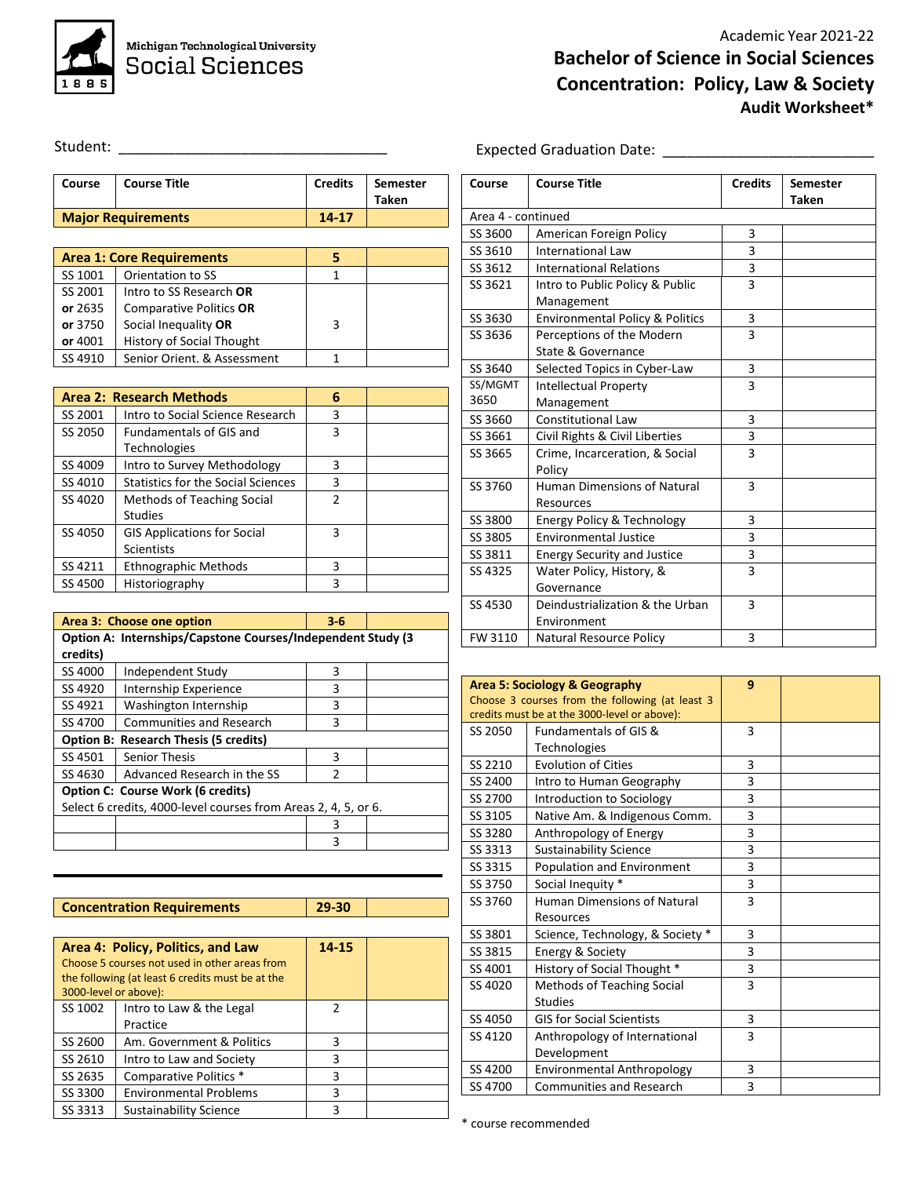

Expected Graduation Date: \_\_\_\_\_\_\_\_\_\_\_\_\_\_\_\_\_\_\_\_\_\_\_\_\_\_

Student: \_\_\_\_\_\_\_\_\_\_\_\_\_\_\_\_\_\_\_\_\_\_\_\_\_\_\_\_\_\_\_\_\_

| Course  | <b>Course Title</b>              | <b>Credits</b> | <b>Semester</b><br><b>Taken</b> |
|---------|----------------------------------|----------------|---------------------------------|
|         | <b>Major Requirements</b>        | 14-17          |                                 |
|         |                                  |                |                                 |
|         | <b>Area 1: Core Requirements</b> |                |                                 |
| SS 1001 | Orientation to SS                |                |                                 |
| SS 2001 | Intro to SS Research OR          |                |                                 |
|         |                                  |                |                                 |

|         | or 2635   Comparative Politics OR |  |
|---------|-----------------------------------|--|
|         | or 3750 Social Inequality OR      |  |
| or 4001 | <b>History of Social Thought</b>  |  |
| SS 4910 | Senior Orient, & Assessment       |  |
|         |                                   |  |

|         | <b>Area 2: Research Methods</b>           | 6             |  |
|---------|-------------------------------------------|---------------|--|
| SS 2001 | Intro to Social Science Research          | 3             |  |
| SS 2050 | <b>Fundamentals of GIS and</b>            | 3             |  |
|         | <b>Technologies</b>                       |               |  |
| SS 4009 | Intro to Survey Methodology               | 3             |  |
| SS 4010 | <b>Statistics for the Social Sciences</b> | 3             |  |
| SS 4020 | Methods of Teaching Social                | $\mathfrak z$ |  |
|         | <b>Studies</b>                            |               |  |
| SS 4050 | <b>GIS Applications for Social</b>        | 3             |  |
|         | Scientists                                |               |  |
| SS 4211 | <b>Ethnographic Methods</b>               | 3             |  |
| SS 4500 | Historiography                            |               |  |

|                                                                | Area 3: Choose one option<br>$3 - 6$                         |               |  |  |  |  |
|----------------------------------------------------------------|--------------------------------------------------------------|---------------|--|--|--|--|
|                                                                | Option A: Internships/Capstone Courses/Independent Study (3) |               |  |  |  |  |
| credits)                                                       |                                                              |               |  |  |  |  |
| SS 4000                                                        | Independent Study                                            | 3             |  |  |  |  |
| SS 4920                                                        | Internship Experience                                        | 3             |  |  |  |  |
| SS 4921                                                        | Washington Internship                                        | 3             |  |  |  |  |
| SS 4700                                                        | <b>Communities and Research</b>                              | ς             |  |  |  |  |
|                                                                | <b>Option B: Research Thesis (5 credits)</b>                 |               |  |  |  |  |
| SS 4501                                                        | Senior Thesis                                                | з             |  |  |  |  |
| SS 4630                                                        | Advanced Research in the SS                                  | $\mathcal{P}$ |  |  |  |  |
|                                                                | <b>Option C: Course Work (6 credits)</b>                     |               |  |  |  |  |
| Select 6 credits, 4000-level courses from Areas 2, 4, 5, or 6. |                                                              |               |  |  |  |  |
|                                                                |                                                              | ς             |  |  |  |  |
|                                                                |                                                              | 3             |  |  |  |  |

|                       | <b>Concentration Requirements</b>                | 29-30         |  |
|-----------------------|--------------------------------------------------|---------------|--|
|                       |                                                  |               |  |
|                       | Area 4: Policy, Politics, and Law                | 14-15         |  |
|                       | Choose 5 courses not used in other areas from    |               |  |
|                       | the following (at least 6 credits must be at the |               |  |
| 3000-level or above): |                                                  |               |  |
| SS 1002               | Intro to Law & the Legal                         | $\mathcal{P}$ |  |
|                       | Practice                                         |               |  |
| SS 2600               | Am. Government & Politics                        | 3             |  |
| SS 2610               | Intro to Law and Society                         | 3             |  |
| SS 2635               | Comparative Politics *                           | 3             |  |
| SS 3300               | <b>Environmental Problems</b>                    | 3             |  |
| SS 3313               | Sustainability Science                           | 3             |  |

| Course  | <b>Course Title</b>                        | <b>Credits</b> | <b>Semester</b><br><b>Taken</b> |  |  |
|---------|--------------------------------------------|----------------|---------------------------------|--|--|
|         | Area 4 - continued                         |                |                                 |  |  |
| SS 3600 | American Foreign Policy                    | 3              |                                 |  |  |
| SS 3610 | <b>International Law</b>                   | 3              |                                 |  |  |
| SS 3612 | <b>International Relations</b>             | 3              |                                 |  |  |
| SS 3621 | Intro to Public Policy & Public            | 3              |                                 |  |  |
|         | Management                                 |                |                                 |  |  |
| SS 3630 | <b>Environmental Policy &amp; Politics</b> | 3              |                                 |  |  |
| SS 3636 | Perceptions of the Modern                  | 3              |                                 |  |  |
|         | State & Governance                         |                |                                 |  |  |
| SS 3640 | Selected Topics in Cyber-Law               | 3              |                                 |  |  |
| SS/MGMT | <b>Intellectual Property</b>               | 3              |                                 |  |  |
| 3650    | Management                                 |                |                                 |  |  |
| SS 3660 | <b>Constitutional Law</b>                  | 3              |                                 |  |  |
| SS 3661 | Civil Rights & Civil Liberties             | 3              |                                 |  |  |
| SS 3665 | Crime, Incarceration, & Social             | $\overline{3}$ |                                 |  |  |
|         | Policy                                     |                |                                 |  |  |
| SS 3760 | <b>Human Dimensions of Natural</b>         | 3              |                                 |  |  |
|         | Resources                                  |                |                                 |  |  |
| SS 3800 | Energy Policy & Technology                 | 3              |                                 |  |  |
| SS 3805 | <b>Environmental Justice</b>               | 3              |                                 |  |  |
| SS 3811 | <b>Energy Security and Justice</b>         | 3              |                                 |  |  |
| SS 4325 | Water Policy, History, &                   | $\overline{3}$ |                                 |  |  |
|         | Governance                                 |                |                                 |  |  |
| SS 4530 | Deindustrialization & the Urban            | 3              |                                 |  |  |
|         | Environment                                |                |                                 |  |  |
| FW 3110 | <b>Natural Resource Policy</b>             | 3              |                                 |  |  |

| 9<br>Area 5: Sociology & Geography              |                                              |   |  |  |
|-------------------------------------------------|----------------------------------------------|---|--|--|
| Choose 3 courses from the following (at least 3 |                                              |   |  |  |
|                                                 | credits must be at the 3000-level or above): |   |  |  |
| SS 2050                                         | Fundamentals of GIS &                        | 3 |  |  |
|                                                 | Technologies                                 |   |  |  |
| SS 2210                                         | <b>Evolution of Cities</b>                   | 3 |  |  |
| SS 2400                                         | Intro to Human Geography                     | 3 |  |  |
| SS 2700                                         | Introduction to Sociology                    | 3 |  |  |
| SS 3105                                         | Native Am. & Indigenous Comm.                | 3 |  |  |
| SS 3280                                         | Anthropology of Energy                       | 3 |  |  |
| SS 3313                                         | <b>Sustainability Science</b>                | 3 |  |  |
| SS 3315                                         | Population and Environment                   | 3 |  |  |
| SS 3750                                         | Social Inequity *                            | 3 |  |  |
| SS 3760                                         | <b>Human Dimensions of Natural</b>           | 3 |  |  |
|                                                 | Resources                                    |   |  |  |
| SS 3801                                         | Science, Technology, & Society *             | 3 |  |  |
| SS 3815                                         | Energy & Society                             | 3 |  |  |
| SS 4001                                         | History of Social Thought *                  | 3 |  |  |
| SS 4020                                         | Methods of Teaching Social                   | 3 |  |  |
|                                                 | <b>Studies</b>                               |   |  |  |
| SS 4050                                         | <b>GIS for Social Scientists</b>             | 3 |  |  |
| SS 4120                                         | Anthropology of International                | 3 |  |  |
|                                                 | Development                                  |   |  |  |
| SS 4200                                         | <b>Environmental Anthropology</b>            | 3 |  |  |
| SS 4700                                         | <b>Communities and Research</b>              | 3 |  |  |

\* course recommended